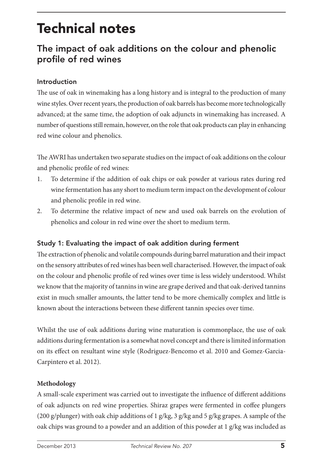# Technical notes

## The impact of oak additions on the colour and phenolic profile of red wines

#### Introduction

The use of oak in winemaking has a long history and is integral to the production of many wine styles. Over recent years, the production of oak barrels has become more technologically advanced; at the same time, the adoption of oak adjuncts in winemaking has increased. A number of questions still remain, however, on the role that oak products can play in enhancing red wine colour and phenolics.

The AWRI has undertaken two separate studies on the impact of oak additions on the colour and phenolic profile of red wines:

- 1. To determine if the addition of oak chips or oak powder at various rates during red wine fermentation has any short to medium term impact on the development of colour and phenolic profile in red wine.
- 2. To determine the relative impact of new and used oak barrels on the evolution of phenolics and colour in red wine over the short to medium term.

## Study 1: Evaluating the impact of oak addition during ferment

The extraction of phenolic and volatile compounds during barrel maturation and their impact on the sensory attributes of red wines has been well characterised. However, the impact of oak on the colour and phenolic profile of red wines over time is less widely understood. Whilst we know that the majority of tannins in wine are grape derived and that oak-derived tannins exist in much smaller amounts, the latter tend to be more chemically complex and little is known about the interactions between these different tannin species over time.

Whilst the use of oak additions during wine maturation is commonplace, the use of oak additions during fermentation is a somewhat novel concept and there is limited information on its effect on resultant wine style (Rodriguez-Bencomo et al. 2010 and Gomez-Garcia-Carpintero et al. 2012).

#### **Methodology**

A small-scale experiment was carried out to investigate the influence of different additions of oak adjuncts on red wine properties. Shiraz grapes were fermented in coffee plungers (200 g/plunger) with oak chip additions of 1 g/kg, 3 g/kg and 5 g/kg grapes. A sample of the oak chips was ground to a powder and an addition of this powder at 1 g/kg was included as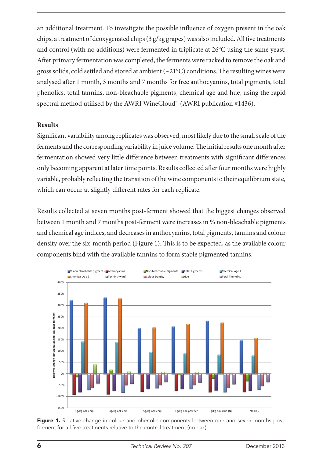an additional treatment. To investigate the possible influence of oxygen present in the oak chips, a treatment of deoxygenated chips (3 g/kg grapes) was also included. All five treatments and control (with no additions) were fermented in triplicate at 26°C using the same yeast. After primary fermentation was completed, the ferments were racked to remove the oak and gross solids, cold settled and stored at ambient  $(\sim 21^{\circ}C)$  conditions. The resulting wines were analysed after 1 month, 3 months and 7 months for free anthocyanins, total pigments, total phenolics, total tannins, non-bleachable pigments, chemical age and hue, using the rapid spectral method utilised by the AWRI WineCloud™ (AWRI publication #1436).

#### **Results**

Significant variability among replicates was observed, most likely due to the small scale of the ferments and the corresponding variability in juice volume. The initial results one month after fermentation showed very little difference between treatments with significant differences only becoming apparent at later time points. Results collected after four months were highly variable, probably reflecting the transition of the wine components to their equilibrium state, which can occur at slightly different rates for each replicate.

Results collected at seven months post-ferment showed that the biggest changes observed between 1 month and 7 months post-ferment were increases in % non-bleachable pigments and chemical age indices, and decreases in anthocyanins, total pigments, tannins and colour density over the six-month period (Figure 1). This is to be expected, as the available colour components bind with the available tannins to form stable pigmented tannins.



Figure 1. Relative change in colour and phenolic components between one and seven months postferment for all five treatments relative to the control treatment (no oak).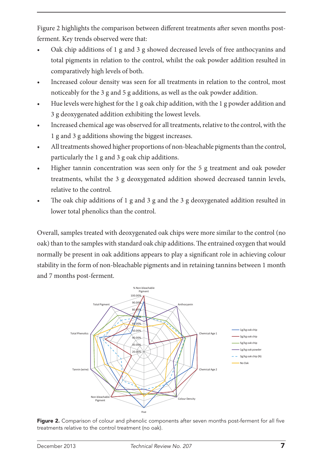Figure 2 highlights the comparison between different treatments after seven months postferment. Key trends observed were that:

- Oak chip additions of 1 g and 3 g showed decreased levels of free anthocyanins and total pigments in relation to the control, whilst the oak powder addition resulted in comparatively high levels of both.
- Increased colour density was seen for all treatments in relation to the control, most noticeably for the 3 g and 5 g additions, as well as the oak powder addition.
- Hue levels were highest for the 1 g oak chip addition, with the 1 g powder addition and 3 g deoxygenated addition exhibiting the lowest levels.
- • Increased chemical age was observed for all treatments, relative to the control, with the 1 g and 3 g additions showing the biggest increases.
- All treatments showed higher proportions of non-bleachable pigments than the control, particularly the 1 g and 3 g oak chip additions.
- Higher tannin concentration was seen only for the 5 g treatment and oak powder treatments, whilst the 3 g deoxygenated addition showed decreased tannin levels, relative to the control.
- The oak chip additions of  $1$  g and  $3$  g and the  $3$  g deoxygenated addition resulted in lower total phenolics than the control.

Overall, samples treated with deoxygenated oak chips were more similar to the control (no oak) than to the samples with standard oak chip additions. The entrained oxygen that would normally be present in oak additions appears to play a significant role in achieving colour stability in the form of non-bleachable pigments and in retaining tannins between 1 month and 7 months post-ferment.



Figure 2. Comparison of colour and phenolic components after seven months post-ferment for all five treatments relative to the control treatment (no oak).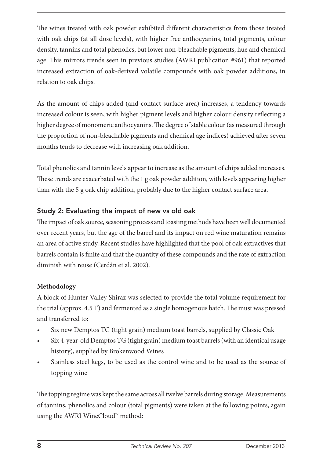The wines treated with oak powder exhibited different characteristics from those treated with oak chips (at all dose levels), with higher free anthocyanins, total pigments, colour density, tannins and total phenolics, but lower non-bleachable pigments, hue and chemical age. This mirrors trends seen in previous studies (AWRI publication #961) that reported increased extraction of oak-derived volatile compounds with oak powder additions, in relation to oak chips.

As the amount of chips added (and contact surface area) increases, a tendency towards increased colour is seen, with higher pigment levels and higher colour density reflecting a higher degree of monomeric anthocyanins. The degree of stable colour (as measured through the proportion of non-bleachable pigments and chemical age indices) achieved after seven months tends to decrease with increasing oak addition.

Total phenolics and tannin levels appear to increase as the amount of chips added increases. These trends are exacerbated with the 1 g oak powder addition, with levels appearing higher than with the 5 g oak chip addition, probably due to the higher contact surface area.

## Study 2: Evaluating the impact of new vs old oak

The impact of oak source, seasoning process and toasting methods have been well documented over recent years, but the age of the barrel and its impact on red wine maturation remains an area of active study. Recent studies have highlighted that the pool of oak extractives that barrels contain is finite and that the quantity of these compounds and the rate of extraction diminish with reuse (Cerdán et al. 2002).

#### **Methodology**

A block of Hunter Valley Shiraz was selected to provide the total volume requirement for the trial (approx. 4.5 T) and fermented as a single homogenous batch. The must was pressed and transferred to:

- Six new Demptos TG (tight grain) medium toast barrels, supplied by Classic Oak
- Six 4-year-old Demptos TG (tight grain) medium toast barrels (with an identical usage history), supplied by Brokenwood Wines
- Stainless steel kegs, to be used as the control wine and to be used as the source of topping wine

The topping regime was kept the same across all twelve barrels during storage. Measurements of tannins, phenolics and colour (total pigments) were taken at the following points, again using the AWRI WineCloud™ method: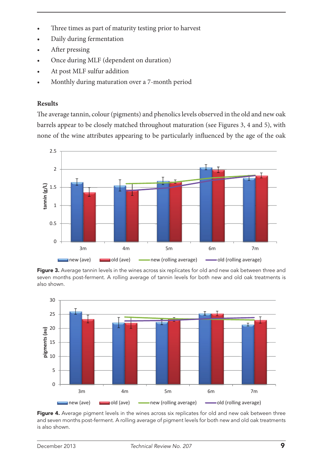- Three times as part of maturity testing prior to harvest
- Daily during fermentation
- After pressing
- Once during MLF (dependent on duration)
- At post MLF sulfur addition
- Monthly during maturation over a 7-month period

#### **Results**

The average tannin, colour (pigments) and phenolics levels observed in the old and new oak barrels appear to be closely matched throughout maturation (see Figures 3, 4 and 5), with none of the wine attributes appearing to be particularly influenced by the age of the oak



Figure 3. Average tannin levels in the wines across six replicates for old and new oak between three and seven months post-ferment. A rolling average of tannin levels for both new and old oak treatments is also shown.



Figure 4. Average pigment levels in the wines across six replicates for old and new oak between three and seven months post-ferment. A rolling average of pigment levels for both new and old oak treatments is also shown.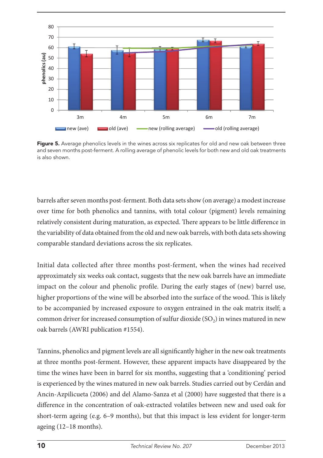

Figure 5. Average phenolics levels in the wines across six replicates for old and new oak between three and seven months post-ferment. A rolling average of phenolic levels for both new and old oak treatments is also shown.

barrels after seven months post-ferment. Both data sets show (on average) a modest increase over time for both phenolics and tannins, with total colour (pigment) levels remaining relatively consistent during maturation, as expected. There appears to be little difference in the variability of data obtained from the old and new oak barrels, with both data sets showing comparable standard deviations across the six replicates.

Initial data collected after three months post-ferment, when the wines had received approximately six weeks oak contact, suggests that the new oak barrels have an immediate impact on the colour and phenolic profile. During the early stages of (new) barrel use, higher proportions of the wine will be absorbed into the surface of the wood. This is likely to be accompanied by increased exposure to oxygen entrained in the oak matrix itself; a common driver for increased consumption of sulfur dioxide  $(SO<sub>2</sub>)$  in wines matured in new oak barrels (AWRI publication #1554).

Tannins, phenolics and pigment levels are all significantly higher in the new oak treatments at three months post-ferment. However, these apparent impacts have disappeared by the time the wines have been in barrel for six months, suggesting that a 'conditioning' period is experienced by the wines matured in new oak barrels. Studies carried out by Cerdán and Ancin-Azpilicueta (2006) and del Alamo-Sanza et al (2000) have suggested that there is a difference in the concentration of oak-extracted volatiles between new and used oak for short-term ageing (e.g. 6–9 months), but that this impact is less evident for longer-term ageing (12–18 months).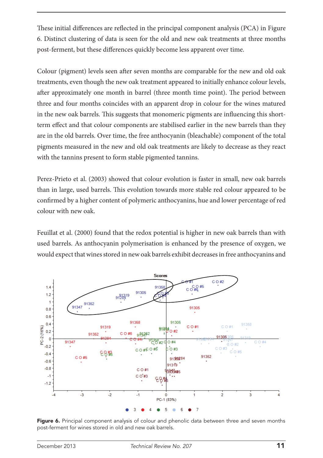These initial differences are reflected in the principal component analysis (PCA) in Figure 6. Distinct clustering of data is seen for the old and new oak treatments at three months post-ferment, but these differences quickly become less apparent over time.

Colour (pigment) levels seen after seven months are comparable for the new and old oak treatments, even though the new oak treatment appeared to initially enhance colour levels, after approximately one month in barrel (three month time point). The period between three and four months coincides with an apparent drop in colour for the wines matured in the new oak barrels. This suggests that monomeric pigments are influencing this shortterm effect and that colour components are stabilised earlier in the new barrels than they are in the old barrels. Over time, the free anthocyanin (bleachable) component of the total pigments measured in the new and old oak treatments are likely to decrease as they react with the tannins present to form stable pigmented tannins.

Perez-Prieto et al. (2003) showed that colour evolution is faster in small, new oak barrels than in large, used barrels. This evolution towards more stable red colour appeared to be confirmed by a higher content of polymeric anthocyanins, hue and lower percentage of red colour with new oak.

Feuillat et al. (2000) found that the redox potential is higher in new oak barrels than with used barrels. As anthocyanin polymerisation is enhanced by the presence of oxygen, we would expect that wines stored in new oak barrels exhibit decreases in free anthocyanins and



Figure 6. Principal component analysis of colour and phenolic data between three and seven months post-ferment for wines stored in old and new oak barrels.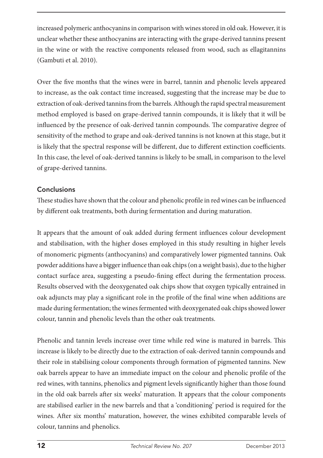increased polymeric anthocyanins in comparison with wines stored in old oak. However, it is unclear whether these anthocyanins are interacting with the grape-derived tannins present in the wine or with the reactive components released from wood, such as ellagitannins (Gambuti et al. 2010).

Over the five months that the wines were in barrel, tannin and phenolic levels appeared to increase, as the oak contact time increased, suggesting that the increase may be due to extraction of oak-derived tannins from the barrels. Although the rapid spectral measurement method employed is based on grape-derived tannin compounds, it is likely that it will be influenced by the presence of oak-derived tannin compounds. The comparative degree of sensitivity of the method to grape and oak-derived tannins is not known at this stage, but it is likely that the spectral response will be different, due to different extinction coefficients. In this case, the level of oak-derived tannins is likely to be small, in comparison to the level of grape-derived tannins.

### Conclusions

These studies have shown that the colour and phenolic profile in red wines can be influenced by different oak treatments, both during fermentation and during maturation.

It appears that the amount of oak added during ferment influences colour development and stabilisation, with the higher doses employed in this study resulting in higher levels of monomeric pigments (anthocyanins) and comparatively lower pigmented tannins. Oak powder additions have a bigger influence than oak chips (on a weight basis), due to the higher contact surface area, suggesting a pseudo-fining effect during the fermentation process. Results observed with the deoxygenated oak chips show that oxygen typically entrained in oak adjuncts may play a significant role in the profile of the final wine when additions are made during fermentation; the wines fermented with deoxygenated oak chips showed lower colour, tannin and phenolic levels than the other oak treatments.

Phenolic and tannin levels increase over time while red wine is matured in barrels. This increase is likely to be directly due to the extraction of oak-derived tannin compounds and their role in stabilising colour components through formation of pigmented tannins. New oak barrels appear to have an immediate impact on the colour and phenolic profile of the red wines, with tannins, phenolics and pigment levels significantly higher than those found in the old oak barrels after six weeks' maturation. It appears that the colour components are stabilised earlier in the new barrels and that a 'conditioning' period is required for the wines. After six months' maturation, however, the wines exhibited comparable levels of colour, tannins and phenolics.